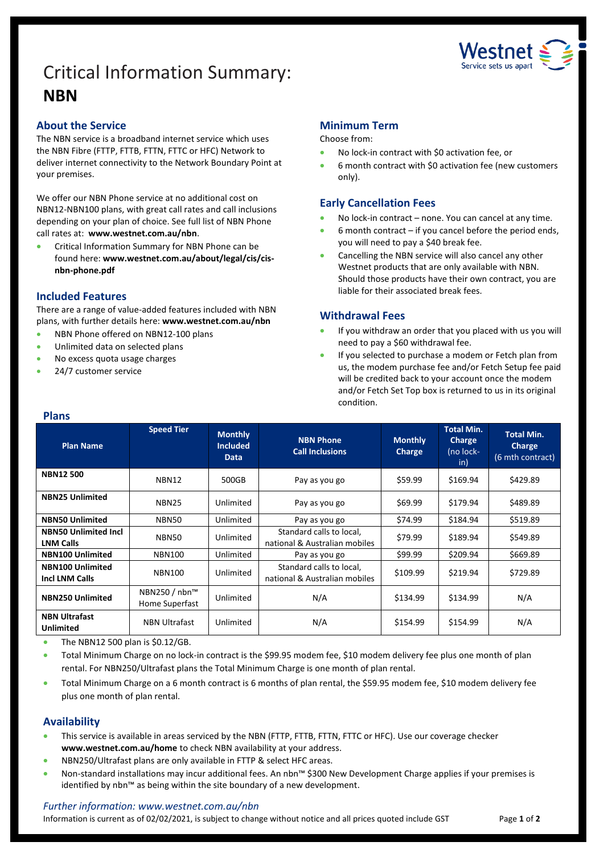# Critical Information Summary: **NBN**



# **About the Service**

The NBN service is a broadband internet service which uses the NBN Fibre (FTTP, FTTB, FTTN, FTTC or HFC) Network to deliver internet connectivity to the Network Boundary Point at your premises.

We offer our NBN Phone service at no additional cost on NBN12-NBN100 plans, with great call rates and call inclusions depending on your plan of choice. See full list of NBN Phone call rates at: **www.westnet.com.au/nbn**.

• Critical Information Summary for NBN Phone can be found here: **www.westnet.com.au/about/legal/cis/cisnbn-phone.pdf**

# **Included Features**

There are a range of value-added features included with NBN plans, with further details here: **www.westnet.com.au/nbn**

- NBN Phone offered on NBN12-100 plans
- Unlimited data on selected plans
- No excess quota usage charges
- 24/7 customer service

# **Minimum Term**

Choose from:

- No lock-in contract with \$0 activation fee, or
- 6 month contract with \$0 activation fee (new customers only).

# **Early Cancellation Fees**

- No lock-in contract none. You can cancel at any time.
- $6$  month contract  $-$  if you cancel before the period ends, you will need to pay a \$40 break fee.
- Cancelling the NBN service will also cancel any other Westnet products that are only available with NBN. Should those products have their own contract, you are liable for their associated break fees.

# **Withdrawal Fees**

- If you withdraw an order that you placed with us you will need to pay a \$60 withdrawal fee.
- If you selected to purchase a modem or Fetch plan from us, the modem purchase fee and/or Fetch Setup fee paid will be credited back to your account once the modem and/or Fetch Set Top box is returned to us in its original condition.

| <b>Plans</b>                                     |                                 |                                                  |                                                           |                          |                                                        |                                                        |  |
|--------------------------------------------------|---------------------------------|--------------------------------------------------|-----------------------------------------------------------|--------------------------|--------------------------------------------------------|--------------------------------------------------------|--|
| <b>Plan Name</b>                                 | <b>Speed Tier</b>               | <b>Monthly</b><br><b>Included</b><br><b>Data</b> | <b>NBN Phone</b><br><b>Call Inclusions</b>                | <b>Monthly</b><br>Charge | <b>Total Min.</b><br><b>Charge</b><br>(no lock-<br>in) | <b>Total Min.</b><br><b>Charge</b><br>(6 mth contract) |  |
| <b>NBN12500</b>                                  | NBN12                           | 500GB                                            | Pay as you go                                             | \$59.99                  | \$169.94                                               | \$429.89                                               |  |
| <b>NBN25 Unlimited</b>                           | NBN <sub>25</sub>               | Unlimited                                        | Pay as you go                                             | \$69.99                  | \$179.94                                               | \$489.89                                               |  |
| <b>NBN50 Unlimited</b>                           | NBN50                           | Unlimited                                        | Pay as you go                                             | \$74.99                  | \$184.94                                               | \$519.89                                               |  |
| <b>NBN50 Unlimited Incl</b><br><b>LNM Calls</b>  | NBN50                           | Unlimited                                        | Standard calls to local,<br>national & Australian mobiles | \$79.99                  | \$189.94                                               | \$549.89                                               |  |
| <b>NBN100 Unlimited</b>                          | <b>NBN100</b>                   | Unlimited                                        | Pay as you go                                             | \$99.99                  | \$209.94                                               | \$669.89                                               |  |
| <b>NBN100 Unlimited</b><br><b>Incl LNM Calls</b> | <b>NBN100</b>                   | Unlimited                                        | Standard calls to local,<br>national & Australian mobiles | \$109.99                 | \$219.94                                               | \$729.89                                               |  |
| <b>NBN250 Unlimited</b>                          | NBN250 / nbn™<br>Home Superfast | Unlimited                                        | N/A                                                       | \$134.99                 | \$134.99                                               | N/A                                                    |  |
| <b>NBN Ultrafast</b><br><b>Unlimited</b>         | <b>NBN Ultrafast</b>            | Unlimited                                        | N/A                                                       | \$154.99                 | \$154.99                                               | N/A                                                    |  |

• The NBN12 500 plan is \$0.12/GB.

• Total Minimum Charge on no lock-in contract is the \$99.95 modem fee, \$10 modem delivery fee plus one month of plan rental. For NBN250/Ultrafast plans the Total Minimum Charge is one month of plan rental.

• Total Minimum Charge on a 6 month contract is 6 months of plan rental, the \$59.95 modem fee, \$10 modem delivery fee plus one month of plan rental.

# **Availability**

- This service is available in areas serviced by the NBN (FTTP, FTTB, FTTN, FTTC or HFC). Use ou[r coverage checker](https://www.westnet.com.au/internet-products/broadband/nbn/coverage/) **[www.westnet.com.au/home](http://www.westnet.com.au/home)** to check NBN availability at your address.
- NBN250/Ultrafast plans are only available in FTTP & select HFC areas.
- Non-standard installations may incur additional fees. An nbn™ \$300 New Development Charge applies if your premises is identified by nbn™ as being within the site boundary of a new development.

### *Further information: www.westnet.com.au/nbn*

Information is current as of 02/02/2021, is subject to change without notice and all prices quoted include GST Page **1** of **2**